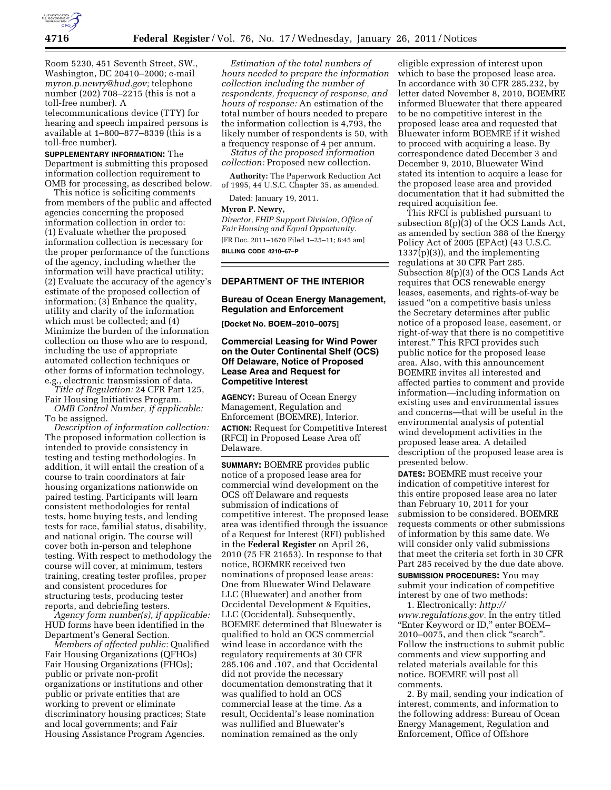

Room 5230, 451 Seventh Street, SW., Washington, DC 20410–2000; e-mail *[myron.p.newry@hud.gov;](mailto:myron.p.newry@hud.gov)* telephone number (202) 708–2215 (this is not a toll-free number). A

telecommunications device (TTY) for hearing and speech impaired persons is available at 1–800–877–8339 (this is a toll-free number).

**SUPPLEMENTARY INFORMATION:** The Department is submitting this proposed information collection requirement to OMB for processing, as described below.

This notice is soliciting comments from members of the public and affected agencies concerning the proposed information collection in order to: (1) Evaluate whether the proposed information collection is necessary for the proper performance of the functions of the agency, including whether the information will have practical utility; (2) Evaluate the accuracy of the agency's estimate of the proposed collection of information; (3) Enhance the quality, utility and clarity of the information which must be collected; and (4) Minimize the burden of the information collection on those who are to respond, including the use of appropriate automated collection techniques or other forms of information technology, e.g., electronic transmission of data.

*Title of Regulation:* 24 CFR Part 125, Fair Housing Initiatives Program.

*OMB Control Number, if applicable:*  To be assigned.

*Description of information collection:*  The proposed information collection is intended to provide consistency in testing and testing methodologies. In addition, it will entail the creation of a course to train coordinators at fair housing organizations nationwide on paired testing. Participants will learn consistent methodologies for rental tests, home buying tests, and lending tests for race, familial status, disability, and national origin. The course will cover both in-person and telephone testing. With respect to methodology the course will cover, at minimum, testers training, creating tester profiles, proper and consistent procedures for structuring tests, producing tester reports, and debriefing testers.

*Agency form number(s), if applicable:*  HUD forms have been identified in the Department's General Section.

*Members of affected public:* Qualified Fair Housing Organizations (QFHOs) Fair Housing Organizations (FHOs); public or private non-profit organizations or institutions and other public or private entities that are working to prevent or eliminate discriminatory housing practices; State and local governments; and Fair Housing Assistance Program Agencies.

*Estimation of the total numbers of hours needed to prepare the information collection including the number of respondents, frequency of response, and hours of response:* An estimation of the total number of hours needed to prepare the information collection is 4,793, the likely number of respondents is 50, with a frequency response of 4 per annum.

*Status of the proposed information collection:* Proposed new collection.

**Authority:** The Paperwork Reduction Act of 1995, 44 U.S.C. Chapter 35, as amended.

Dated: January 19, 2011.

## **Myron P. Newry,**

*Director, FHIP Support Division, Office of Fair Housing and Equal Opportunity.*  [FR Doc. 2011–1670 Filed 1–25–11; 8:45 am] **BILLING CODE 4210–67–P** 

## **DEPARTMENT OF THE INTERIOR**

### **Bureau of Ocean Energy Management, Regulation and Enforcement**

**[Docket No. BOEM–2010–0075]** 

## **Commercial Leasing for Wind Power on the Outer Continental Shelf (OCS) Off Delaware, Notice of Proposed Lease Area and Request for Competitive Interest**

**AGENCY:** Bureau of Ocean Energy Management, Regulation and Enforcement (BOEMRE), Interior. **ACTION:** Request for Competitive Interest (RFCI) in Proposed Lease Area off Delaware.

**SUMMARY:** BOEMRE provides public notice of a proposed lease area for commercial wind development on the OCS off Delaware and requests submission of indications of competitive interest. The proposed lease area was identified through the issuance of a Request for Interest (RFI) published in the **Federal Register** on April 26, 2010 (75 FR 21653). In response to that notice, BOEMRE received two nominations of proposed lease areas: One from Bluewater Wind Delaware LLC (Bluewater) and another from Occidental Development & Equities, LLC (Occidental). Subsequently, BOEMRE determined that Bluewater is qualified to hold an OCS commercial wind lease in accordance with the regulatory requirements at 30 CFR 285.106 and .107, and that Occidental did not provide the necessary documentation demonstrating that it was qualified to hold an OCS commercial lease at the time. As a result, Occidental's lease nomination was nullified and Bluewater's nomination remained as the only

eligible expression of interest upon which to base the proposed lease area. In accordance with 30 CFR 285.232, by letter dated November 8, 2010, BOEMRE informed Bluewater that there appeared to be no competitive interest in the proposed lease area and requested that Bluewater inform BOEMRE if it wished to proceed with acquiring a lease. By correspondence dated December 3 and December 9, 2010, Bluewater Wind stated its intention to acquire a lease for the proposed lease area and provided documentation that it had submitted the required acquisition fee.

This RFCI is published pursuant to subsection 8(p)(3) of the OCS Lands Act, as amended by section 388 of the Energy Policy Act of 2005 (EPAct) (43 U.S.C. 1337(p)(3)), and the implementing regulations at 30 CFR Part 285. Subsection 8(p)(3) of the OCS Lands Act requires that OCS renewable energy leases, easements, and rights-of-way be issued ''on a competitive basis unless the Secretary determines after public notice of a proposed lease, easement, or right-of-way that there is no competitive interest.'' This RFCI provides such public notice for the proposed lease area. Also, with this announcement BOEMRE invites all interested and affected parties to comment and provide information—including information on existing uses and environmental issues and concerns—that will be useful in the environmental analysis of potential wind development activities in the proposed lease area. A detailed description of the proposed lease area is presented below.

**DATES:** BOEMRE must receive your indication of competitive interest for this entire proposed lease area no later than February 10, 2011 for your submission to be considered. BOEMRE requests comments or other submissions of information by this same date. We will consider only valid submissions that meet the criteria set forth in 30 CFR Part 285 received by the due date above. **SUBMISSION PROCEDURES:** You may submit your indication of competitive interest by one of two methods:

1. Electronically: *[http://](http://www.regulations.gov)  [www.regulations.gov.](http://www.regulations.gov)* In the entry titled "Enter Keyword or ID," enter BOEM-2010–0075, and then click ''search''. Follow the instructions to submit public comments and view supporting and related materials available for this notice. BOEMRE will post all comments.

2. By mail, sending your indication of interest, comments, and information to the following address: Bureau of Ocean Energy Management, Regulation and Enforcement, Office of Offshore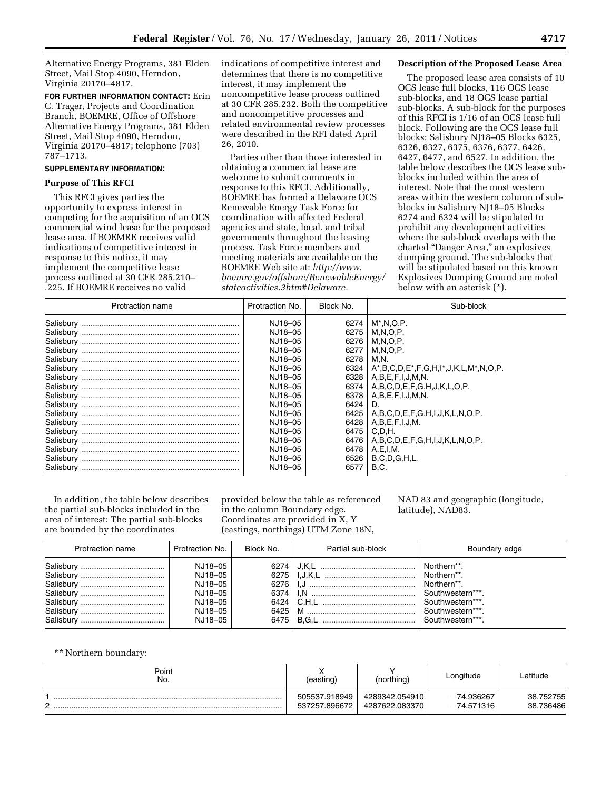Alternative Energy Programs, 381 Elden Street, Mail Stop 4090, Herndon, Virginia 20170–4817.

**FOR FURTHER INFORMATION CONTACT:** Erin C. Trager, Projects and Coordination Branch, BOEMRE, Office of Offshore Alternative Energy Programs, 381 Elden Street, Mail Stop 4090, Herndon, Virginia 20170–4817; telephone (703) 787–1713.

## **SUPPLEMENTARY INFORMATION:**

## **Purpose of This RFCI**

This RFCI gives parties the opportunity to express interest in competing for the acquisition of an OCS commercial wind lease for the proposed lease area. If BOEMRE receives valid indications of competitive interest in response to this notice, it may implement the competitive lease process outlined at 30 CFR 285.210– .225. If BOEMRE receives no valid

indications of competitive interest and determines that there is no competitive interest, it may implement the noncompetitive lease process outlined at 30 CFR 285.232. Both the competitive and noncompetitive processes and related environmental review processes were described in the RFI dated April 26, 2010.

Parties other than those interested in obtaining a commercial lease are welcome to submit comments in response to this RFCI. Additionally, BOEMRE has formed a Delaware OCS Renewable Energy Task Force for coordination with affected Federal agencies and state, local, and tribal governments throughout the leasing process. Task Force members and meeting materials are available on the BOEMRE Web site at: *[http://www.](http://www.boemre.gov/offshore/RenewableEnergy/stateactivities.3htm#Delaware) [boemre.gov/offshore/RenewableEnergy/](http://www.boemre.gov/offshore/RenewableEnergy/stateactivities.3htm#Delaware) [stateactivities.3htm#Delaware.](http://www.boemre.gov/offshore/RenewableEnergy/stateactivities.3htm#Delaware)* 

#### **Description of the Proposed Lease Area**

The proposed lease area consists of 10 OCS lease full blocks, 116 OCS lease sub-blocks, and 18 OCS lease partial sub-blocks. A sub-block for the purposes of this RFCI is 1/16 of an OCS lease full block. Following are the OCS lease full blocks: Salisbury NJ18–05 Blocks 6325, 6326, 6327, 6375, 6376, 6377, 6426, 6427, 6477, and 6527. In addition, the table below describes the OCS lease subblocks included within the area of interest. Note that the most western areas within the western column of subblocks in Salisbury NJ18–05 Blocks 6274 and 6324 will be stipulated to prohibit any development activities where the sub-block overlaps with the charted ''Danger Area,'' an explosives dumping ground. The sub-blocks that will be stipulated based on this known Explosives Dumping Ground are noted below with an asterisk (\*).

| Protraction name | Protraction No. | Block No. | Sub-block                                                                                      |  |
|------------------|-----------------|-----------|------------------------------------------------------------------------------------------------|--|
| Salisbury        | NJ18-05         | 6274      | $M^*$ .N.O.P.                                                                                  |  |
| Salisbury        | NJ18-05         | 6275      | M.N.O.P.                                                                                       |  |
| Salisbury        | NJ18-05         | 6276      | M.N.O.P.                                                                                       |  |
| Salisbury        | NJ18-05         | 6277      | $M, N, O, P$ .                                                                                 |  |
| Salisbury        | NJ18-05         | 6278      | M.N.                                                                                           |  |
| Salisbury        | NJ18-05         | 6324      | $A^*$ , B, C, D, E <sup>*</sup> , F, G, H, I <sup>*</sup> , J, K, L, M <sup>*</sup> , N, O, P. |  |
| Salisbury        | NJ18-05         | 6328      | A.B.E.F.I.J.M.N.                                                                               |  |
| Salisbury        | NJ18-05         | 6374      | $A, B, C, D, E, F, G, H, J, K, L, O, P.$                                                       |  |
| Salisbury        | NJ18-05         | 6378      | A,B,E,F,I,J,M,N.                                                                               |  |
| Salisbury        | NJ18-05         | 6424      | D.                                                                                             |  |
| Salisbury        | NJ18-05         | 6425      | A,B,C,D,E,F,G,H,I,J,K,L,N,O,P.                                                                 |  |
| Salisbury        | NJ18-05         | 6428      | A,B,E,F,I,J,M.                                                                                 |  |
| Salisbury        | NJ18-05         | 6475      | C.D.H.                                                                                         |  |
| Salisbury        | NJ18-05         | 6476      | A, B, C, D, E, F, G, H, I, J, K, L, N, O, P.                                                   |  |
| Salisbury        | NJ18-05         | 6478      | $A, E, I, M$ .                                                                                 |  |
| Salisbury        | NJ18-05         | 6526      | <b>B.C.D.G.H.L.</b>                                                                            |  |
| Salisbury        | NJ18-05         | 6577      | <b>B.C.</b>                                                                                    |  |

In addition, the table below describes the partial sub-blocks included in the area of interest: The partial sub-blocks are bounded by the coordinates

provided below the table as referenced in the column Boundary edge. Coordinates are provided in X, Y (eastings, northings) UTM Zone 18N,

NAD 83 and geographic (longitude, latitude), NAD83.

| Protraction name               | Protraction No.                                                           | Block No. | Partial sub-block | Boundary edge                                                                                                             |
|--------------------------------|---------------------------------------------------------------------------|-----------|-------------------|---------------------------------------------------------------------------------------------------------------------------|
| Salisbury<br><br>Salisburv<br> | NJ18-05<br>NJ18-05<br>NJ18-05<br>NJ18-05<br>NJ18-05<br>NJ18-05<br>NJ18-05 | 6274      |                   | Northern**.<br>Northern**.<br>Northern**.<br>Southwestern***.<br>Southwestern***.<br>Southwestern***.<br>Southwestern***. |

\*\* Northern boundary:

| Point<br>No. | (easting)                      | (northing)                       | Longitude                   | Latitude               |
|--------------|--------------------------------|----------------------------------|-----------------------------|------------------------|
| $\sim$       | 505537.918949<br>537257.896672 | 4289342.054910<br>4287622.083370 | $-74.936267$<br>- 74.571316 | 38.752755<br>38.736486 |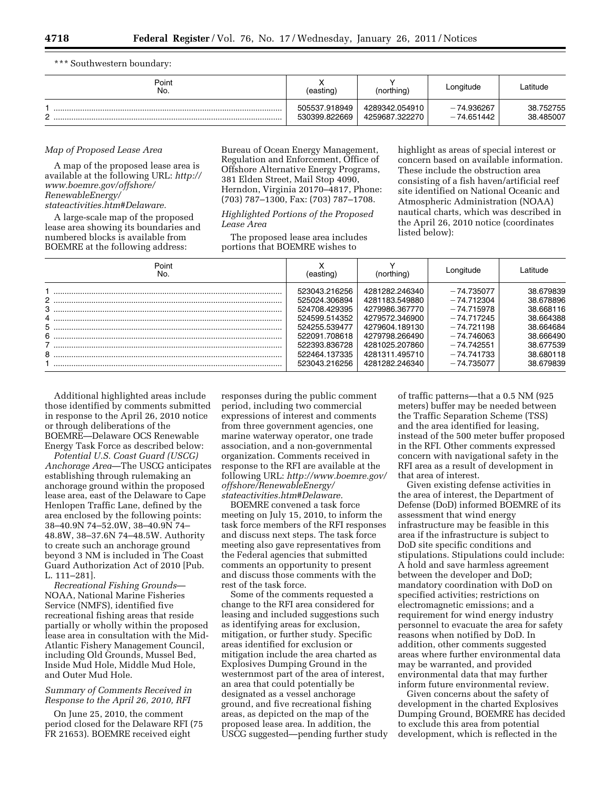\*\*\* Southwestern boundary:

| Point<br>No. | (easting)                      | (northing)                       | Longitude                    | Latitude               |
|--------------|--------------------------------|----------------------------------|------------------------------|------------------------|
| ົ            | 505537.918949<br>530399.822669 | 4289342.054910<br>4259687.322270 | $-74.936267$<br>$-74.651442$ | 38.752755<br>38.485007 |

## *Map of Proposed Lease Area*

A map of the proposed lease area is available at the following URL: *[http://](http://www.boemre.gov/offshore/RenewableEnergy/stateactivities.htm#Delaware)  [www.boemre.gov/offshore/](http://www.boemre.gov/offshore/RenewableEnergy/stateactivities.htm#Delaware)  [RenewableEnergy/](http://www.boemre.gov/offshore/RenewableEnergy/stateactivities.htm#Delaware) [stateactivities.htm#Delaware.](http://www.boemre.gov/offshore/RenewableEnergy/stateactivities.htm#Delaware)* 

A large-scale map of the proposed lease area showing its boundaries and numbered blocks is available from BOEMRE at the following address:

Bureau of Ocean Energy Management, Regulation and Enforcement, Office of Offshore Alternative Energy Programs, 381 Elden Street, Mail Stop 4090, Herndon, Virginia 20170–4817, Phone: (703) 787–1300, Fax: (703) 787–1708.

## *Highlighted Portions of the Proposed Lease Area*

The proposed lease area includes portions that BOEMRE wishes to

highlight as areas of special interest or concern based on available information. These include the obstruction area consisting of a fish haven/artificial reef site identified on National Oceanic and Atmospheric Administration (NOAA) nautical charts, which was described in the April 26, 2010 notice (coordinates listed below):

| Point<br>No.   | (eastıng)     | (northing)     | Longitude    | Latitude  |
|----------------|---------------|----------------|--------------|-----------|
|                | 523043.216256 | 4281282.246340 | $-74.735077$ | 38.679839 |
| 2 <sup>1</sup> | 525024.306894 | 4281183.549880 | $-74.712304$ | 38.678896 |
|                | 524708.429395 | 4279986.367770 | $-74.715978$ | 38.668116 |
| 3              | 524599.514352 | 4279572.346900 | $-74.717245$ | 38.664388 |
|                | 524255.539477 | 4279604.189130 | $-74.721198$ | 38.664684 |
|                | 522091.708618 | 4279798.266490 | $-74.746063$ | 38.666490 |
| 6              | 522393.836728 | 4281025.207860 | $-74.742551$ | 38.677539 |
| 8              | 522464.137335 | 4281311.495710 | $-74.741733$ | 38.680118 |
|                | 523043.216256 | 4281282.246340 | $-74.735077$ | 38.679839 |

Additional highlighted areas include those identified by comments submitted in response to the April 26, 2010 notice or through deliberations of the BOEMRE—Delaware OCS Renewable Energy Task Force as described below:

*Potential U.S. Coast Guard (USCG) Anchorage Area*—The USCG anticipates establishing through rulemaking an anchorage ground within the proposed lease area, east of the Delaware to Cape Henlopen Traffic Lane, defined by the area enclosed by the following points: 38–40.9N 74–52.0W, 38–40.9N 74– 48.8W, 38–37.6N 74–48.5W. Authority to create such an anchorage ground beyond 3 NM is included in The Coast Guard Authorization Act of 2010 [Pub. L. 111–281].

*Recreational Fishing Grounds*— NOAA, National Marine Fisheries Service (NMFS), identified five recreational fishing areas that reside partially or wholly within the proposed lease area in consultation with the Mid-Atlantic Fishery Management Council, including Old Grounds, Mussel Bed, Inside Mud Hole, Middle Mud Hole, and Outer Mud Hole.

# *Summary of Comments Received in Response to the April 26, 2010, RFI*

On June 25, 2010, the comment period closed for the Delaware RFI (75 FR 21653). BOEMRE received eight

responses during the public comment period, including two commercial expressions of interest and comments from three government agencies, one marine waterway operator, one trade association, and a non-governmental organization. Comments received in response to the RFI are available at the following URL: *[http://www.boemre.gov/](http://www.boemre.gov/offshore/RenewableEnergy/stateactivities.htm#Delaware)  [offshore/RenewableEnergy/](http://www.boemre.gov/offshore/RenewableEnergy/stateactivities.htm#Delaware) [stateactivities.htm#Delaware.](http://www.boemre.gov/offshore/RenewableEnergy/stateactivities.htm#Delaware)* 

BOEMRE convened a task force meeting on July 15, 2010, to inform the task force members of the RFI responses and discuss next steps. The task force meeting also gave representatives from the Federal agencies that submitted comments an opportunity to present and discuss those comments with the rest of the task force.

Some of the comments requested a change to the RFI area considered for leasing and included suggestions such as identifying areas for exclusion, mitigation, or further study. Specific areas identified for exclusion or mitigation include the area charted as Explosives Dumping Ground in the westernmost part of the area of interest, an area that could potentially be designated as a vessel anchorage ground, and five recreational fishing areas, as depicted on the map of the proposed lease area. In addition, the USCG suggested—pending further study of traffic patterns—that a 0.5 NM (925 meters) buffer may be needed between the Traffic Separation Scheme (TSS) and the area identified for leasing, instead of the 500 meter buffer proposed in the RFI. Other comments expressed concern with navigational safety in the RFI area as a result of development in that area of interest.

Given existing defense activities in the area of interest, the Department of Defense (DoD) informed BOEMRE of its assessment that wind energy infrastructure may be feasible in this area if the infrastructure is subject to DoD site specific conditions and stipulations. Stipulations could include: A hold and save harmless agreement between the developer and DoD; mandatory coordination with DoD on specified activities; restrictions on electromagnetic emissions; and a requirement for wind energy industry personnel to evacuate the area for safety reasons when notified by DoD. In addition, other comments suggested areas where further environmental data may be warranted, and provided environmental data that may further inform future environmental review.

Given concerns about the safety of development in the charted Explosives Dumping Ground, BOEMRE has decided to exclude this area from potential development, which is reflected in the